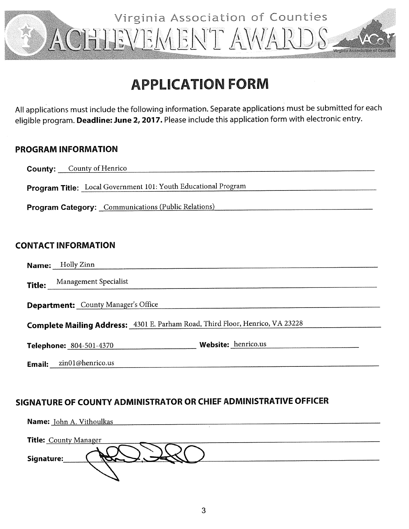

### **APPLICATION FORM**

All applications must include the following information. Separate applications must be submitted for each eligible program. Deadline: June 2, 2017. Please include this application form with electronic entry.

#### **PROGRAM INFORMATION**

|                                                                                      | <b>County:</b> County of Henrico                               |  |
|--------------------------------------------------------------------------------------|----------------------------------------------------------------|--|
|                                                                                      | Program Title: Local Government 101: Youth Educational Program |  |
| <b>Program Category:</b> Communications (Public Relations)                           |                                                                |  |
|                                                                                      |                                                                |  |
| <b>CONTACT INFORMATION</b>                                                           |                                                                |  |
|                                                                                      | <b>Name:</b> Holly Zinn                                        |  |
|                                                                                      | Title: Management Specialist                                   |  |
| <b>Department:</b> County Manager's Office                                           |                                                                |  |
| <b>Complete Mailing Address:</b> 4301 E. Parham Road, Third Floor, Henrico, VA 23228 |                                                                |  |
|                                                                                      | Website: henrico.us<br>Telephone: 804-501-4370                 |  |
|                                                                                      | <b>Email</b> $\sin(1/\omega)$ henrico.us                       |  |

#### SIGNATURE OF COUNTY ADMINISTRATOR OR CHIEF ADMINISTRATIVE OFFICER

| Name: John A. Vithoulkas     |
|------------------------------|
|                              |
| <b>Title: County Manager</b> |
|                              |
| Signature:                   |
|                              |
|                              |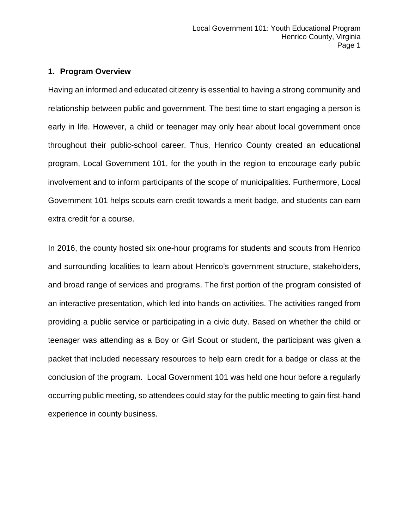#### **1. Program Overview**

Having an informed and educated citizenry is essential to having a strong community and relationship between public and government. The best time to start engaging a person is early in life. However, a child or teenager may only hear about local government once throughout their public-school career. Thus, Henrico County created an educational program, Local Government 101, for the youth in the region to encourage early public involvement and to inform participants of the scope of municipalities. Furthermore, Local Government 101 helps scouts earn credit towards a merit badge, and students can earn extra credit for a course.

In 2016, the county hosted six one-hour programs for students and scouts from Henrico and surrounding localities to learn about Henrico's government structure, stakeholders, and broad range of services and programs. The first portion of the program consisted of an interactive presentation, which led into hands-on activities. The activities ranged from providing a public service or participating in a civic duty. Based on whether the child or teenager was attending as a Boy or Girl Scout or student, the participant was given a packet that included necessary resources to help earn credit for a badge or class at the conclusion of the program. Local Government 101 was held one hour before a regularly occurring public meeting, so attendees could stay for the public meeting to gain first-hand experience in county business.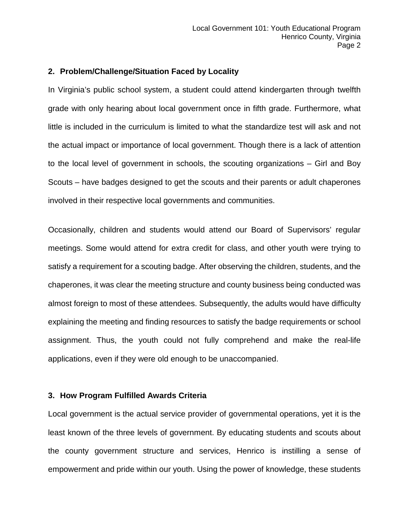#### **2. Problem/Challenge/Situation Faced by Locality**

In Virginia's public school system, a student could attend kindergarten through twelfth grade with only hearing about local government once in fifth grade. Furthermore, what little is included in the curriculum is limited to what the standardize test will ask and not the actual impact or importance of local government. Though there is a lack of attention to the local level of government in schools, the scouting organizations – Girl and Boy Scouts – have badges designed to get the scouts and their parents or adult chaperones involved in their respective local governments and communities.

Occasionally, children and students would attend our Board of Supervisors' regular meetings. Some would attend for extra credit for class, and other youth were trying to satisfy a requirement for a scouting badge. After observing the children, students, and the chaperones, it was clear the meeting structure and county business being conducted was almost foreign to most of these attendees. Subsequently, the adults would have difficulty explaining the meeting and finding resources to satisfy the badge requirements or school assignment. Thus, the youth could not fully comprehend and make the real-life applications, even if they were old enough to be unaccompanied.

#### **3. How Program Fulfilled Awards Criteria**

Local government is the actual service provider of governmental operations, yet it is the least known of the three levels of government. By educating students and scouts about the county government structure and services, Henrico is instilling a sense of empowerment and pride within our youth. Using the power of knowledge, these students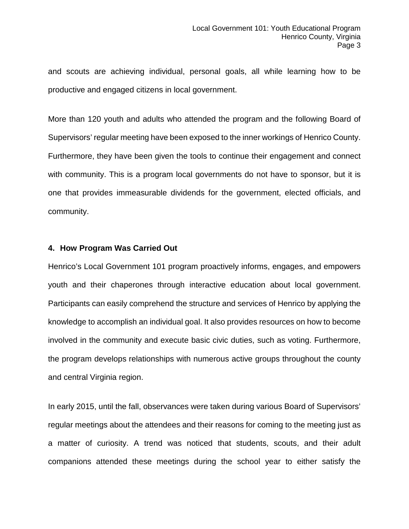and scouts are achieving individual, personal goals, all while learning how to be productive and engaged citizens in local government.

More than 120 youth and adults who attended the program and the following Board of Supervisors' regular meeting have been exposed to the inner workings of Henrico County. Furthermore, they have been given the tools to continue their engagement and connect with community. This is a program local governments do not have to sponsor, but it is one that provides immeasurable dividends for the government, elected officials, and community.

#### **4. How Program Was Carried Out**

Henrico's Local Government 101 program proactively informs, engages, and empowers youth and their chaperones through interactive education about local government. Participants can easily comprehend the structure and services of Henrico by applying the knowledge to accomplish an individual goal. It also provides resources on how to become involved in the community and execute basic civic duties, such as voting. Furthermore, the program develops relationships with numerous active groups throughout the county and central Virginia region.

In early 2015, until the fall, observances were taken during various Board of Supervisors' regular meetings about the attendees and their reasons for coming to the meeting just as a matter of curiosity. A trend was noticed that students, scouts, and their adult companions attended these meetings during the school year to either satisfy the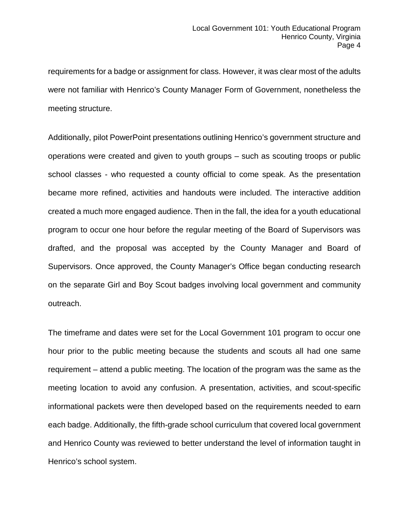requirements for a badge or assignment for class. However, it was clear most of the adults were not familiar with Henrico's County Manager Form of Government, nonetheless the meeting structure.

Additionally, pilot PowerPoint presentations outlining Henrico's government structure and operations were created and given to youth groups – such as scouting troops or public school classes - who requested a county official to come speak. As the presentation became more refined, activities and handouts were included. The interactive addition created a much more engaged audience. Then in the fall, the idea for a youth educational program to occur one hour before the regular meeting of the Board of Supervisors was drafted, and the proposal was accepted by the County Manager and Board of Supervisors. Once approved, the County Manager's Office began conducting research on the separate Girl and Boy Scout badges involving local government and community outreach.

The timeframe and dates were set for the Local Government 101 program to occur one hour prior to the public meeting because the students and scouts all had one same requirement – attend a public meeting. The location of the program was the same as the meeting location to avoid any confusion. A presentation, activities, and scout-specific informational packets were then developed based on the requirements needed to earn each badge. Additionally, the fifth-grade school curriculum that covered local government and Henrico County was reviewed to better understand the level of information taught in Henrico's school system.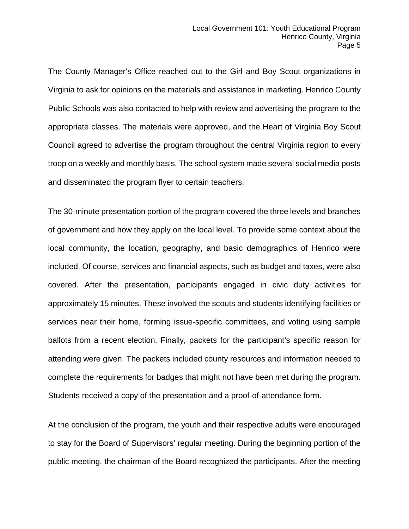The County Manager's Office reached out to the Girl and Boy Scout organizations in Virginia to ask for opinions on the materials and assistance in marketing. Henrico County Public Schools was also contacted to help with review and advertising the program to the appropriate classes. The materials were approved, and the Heart of Virginia Boy Scout Council agreed to advertise the program throughout the central Virginia region to every troop on a weekly and monthly basis. The school system made several social media posts and disseminated the program flyer to certain teachers.

The 30-minute presentation portion of the program covered the three levels and branches of government and how they apply on the local level. To provide some context about the local community, the location, geography, and basic demographics of Henrico were included. Of course, services and financial aspects, such as budget and taxes, were also covered. After the presentation, participants engaged in civic duty activities for approximately 15 minutes. These involved the scouts and students identifying facilities or services near their home, forming issue-specific committees, and voting using sample ballots from a recent election. Finally, packets for the participant's specific reason for attending were given. The packets included county resources and information needed to complete the requirements for badges that might not have been met during the program. Students received a copy of the presentation and a proof-of-attendance form.

At the conclusion of the program, the youth and their respective adults were encouraged to stay for the Board of Supervisors' regular meeting. During the beginning portion of the public meeting, the chairman of the Board recognized the participants. After the meeting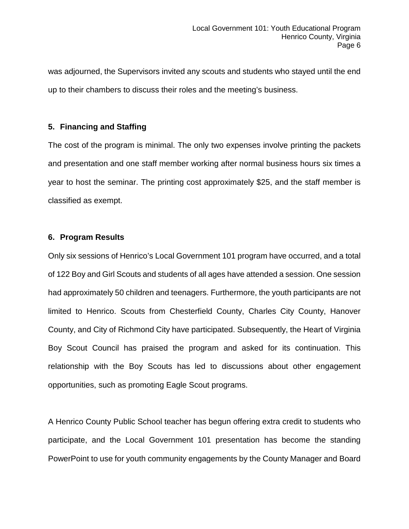was adjourned, the Supervisors invited any scouts and students who stayed until the end up to their chambers to discuss their roles and the meeting's business.

#### **5. Financing and Staffing**

The cost of the program is minimal. The only two expenses involve printing the packets and presentation and one staff member working after normal business hours six times a year to host the seminar. The printing cost approximately \$25, and the staff member is classified as exempt.

#### **6. Program Results**

Only six sessions of Henrico's Local Government 101 program have occurred, and a total of 122 Boy and Girl Scouts and students of all ages have attended a session. One session had approximately 50 children and teenagers. Furthermore, the youth participants are not limited to Henrico. Scouts from Chesterfield County, Charles City County, Hanover County, and City of Richmond City have participated. Subsequently, the Heart of Virginia Boy Scout Council has praised the program and asked for its continuation. This relationship with the Boy Scouts has led to discussions about other engagement opportunities, such as promoting Eagle Scout programs.

A Henrico County Public School teacher has begun offering extra credit to students who participate, and the Local Government 101 presentation has become the standing PowerPoint to use for youth community engagements by the County Manager and Board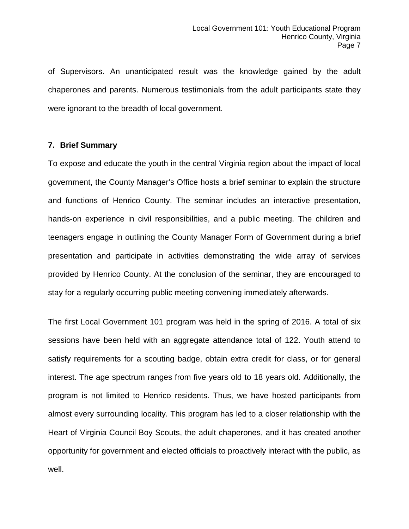of Supervisors. An unanticipated result was the knowledge gained by the adult chaperones and parents. Numerous testimonials from the adult participants state they were ignorant to the breadth of local government.

#### **7. Brief Summary**

To expose and educate the youth in the central Virginia region about the impact of local government, the County Manager's Office hosts a brief seminar to explain the structure and functions of Henrico County. The seminar includes an interactive presentation, hands-on experience in civil responsibilities, and a public meeting. The children and teenagers engage in outlining the County Manager Form of Government during a brief presentation and participate in activities demonstrating the wide array of services provided by Henrico County. At the conclusion of the seminar, they are encouraged to stay for a regularly occurring public meeting convening immediately afterwards.

The first Local Government 101 program was held in the spring of 2016. A total of six sessions have been held with an aggregate attendance total of 122. Youth attend to satisfy requirements for a scouting badge, obtain extra credit for class, or for general interest. The age spectrum ranges from five years old to 18 years old. Additionally, the program is not limited to Henrico residents. Thus, we have hosted participants from almost every surrounding locality. This program has led to a closer relationship with the Heart of Virginia Council Boy Scouts, the adult chaperones, and it has created another opportunity for government and elected officials to proactively interact with the public, as well.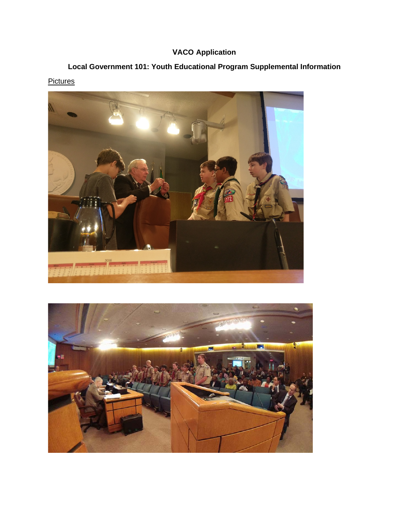### **VACO Application**

### **Local Government 101: Youth Educational Program Supplemental Information**



#### **Pictures**